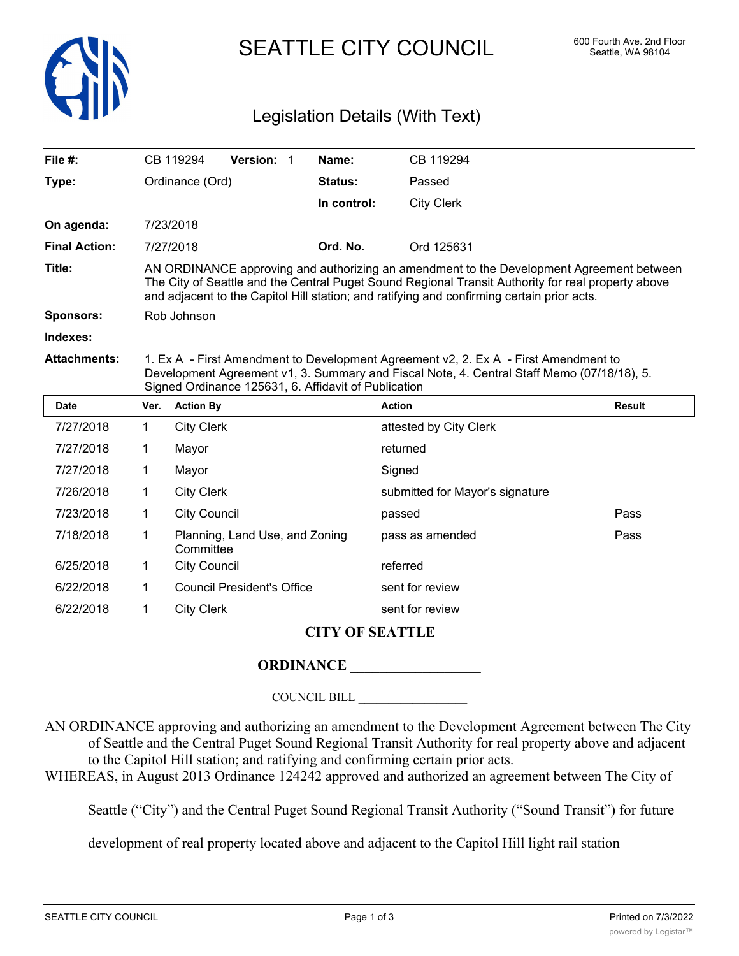

SEATTLE CITY COUNCIL 600 Fourth Ave. 2nd Floor

## Legislation Details (With Text)

| File $#$ :           |                                                                                                                                                                                                                                                                                              | CB 119294                                            | Version: 1                        |  | Name:          | CB 119294              |               |  |  |
|----------------------|----------------------------------------------------------------------------------------------------------------------------------------------------------------------------------------------------------------------------------------------------------------------------------------------|------------------------------------------------------|-----------------------------------|--|----------------|------------------------|---------------|--|--|
| Type:                | Ordinance (Ord)                                                                                                                                                                                                                                                                              |                                                      |                                   |  | <b>Status:</b> | Passed                 |               |  |  |
|                      |                                                                                                                                                                                                                                                                                              |                                                      |                                   |  | In control:    | <b>City Clerk</b>      |               |  |  |
| On agenda:           |                                                                                                                                                                                                                                                                                              | 7/23/2018                                            |                                   |  |                |                        |               |  |  |
| <b>Final Action:</b> |                                                                                                                                                                                                                                                                                              | 7/27/2018                                            |                                   |  | Ord. No.       | Ord 125631             |               |  |  |
| Title:               | AN ORDINANCE approving and authorizing an amendment to the Development Agreement between<br>The City of Seattle and the Central Puget Sound Regional Transit Authority for real property above<br>and adjacent to the Capitol Hill station; and ratifying and confirming certain prior acts. |                                                      |                                   |  |                |                        |               |  |  |
| <b>Sponsors:</b>     | Rob Johnson                                                                                                                                                                                                                                                                                  |                                                      |                                   |  |                |                        |               |  |  |
| Indexes:             |                                                                                                                                                                                                                                                                                              |                                                      |                                   |  |                |                        |               |  |  |
| <b>Attachments:</b>  | 1. Ex A - First Amendment to Development Agreement v2, 2. Ex A - First Amendment to<br>Development Agreement v1, 3. Summary and Fiscal Note, 4. Central Staff Memo (07/18/18), 5.<br>Signed Ordinance 125631, 6. Affidavit of Publication                                                    |                                                      |                                   |  |                |                        |               |  |  |
| <b>Date</b>          | Ver.                                                                                                                                                                                                                                                                                         | <b>Action By</b>                                     |                                   |  |                | <b>Action</b>          | <b>Result</b> |  |  |
| 7/27/2018            | 1.                                                                                                                                                                                                                                                                                           | <b>City Clerk</b>                                    |                                   |  |                | attested by City Clerk |               |  |  |
| 7/27/2018            | 1                                                                                                                                                                                                                                                                                            | Mayor                                                |                                   |  |                | returned               |               |  |  |
| 7/27/2018            | 1                                                                                                                                                                                                                                                                                            | Mayor<br>Signed                                      |                                   |  |                |                        |               |  |  |
| 7/26/2018            | 1                                                                                                                                                                                                                                                                                            | <b>City Clerk</b><br>submitted for Mayor's signature |                                   |  |                |                        |               |  |  |
| 7/23/2018            | 1                                                                                                                                                                                                                                                                                            | <b>City Council</b>                                  |                                   |  | passed         | Pass                   |               |  |  |
| 7/18/2018            | 1                                                                                                                                                                                                                                                                                            | Committee                                            | Planning, Land Use, and Zoning    |  |                | pass as amended        | Pass          |  |  |
| 6/25/2018            | 1                                                                                                                                                                                                                                                                                            | <b>City Council</b>                                  |                                   |  |                | referred               |               |  |  |
| 6/22/2018            | 1                                                                                                                                                                                                                                                                                            |                                                      | <b>Council President's Office</b> |  |                | sent for review        |               |  |  |
| 6/22/2018            | 1                                                                                                                                                                                                                                                                                            | <b>City Clerk</b>                                    |                                   |  |                | sent for review        |               |  |  |

## **CITY OF SEATTLE**

## **ORDINANCE**

COUNCIL BILL \_\_\_\_\_\_\_\_\_\_\_\_\_\_\_\_\_\_

AN ORDINANCE approving and authorizing an amendment to the Development Agreement between The City of Seattle and the Central Puget Sound Regional Transit Authority for real property above and adjacent to the Capitol Hill station; and ratifying and confirming certain prior acts.

WHEREAS, in August 2013 Ordinance 124242 approved and authorized an agreement between The City of

Seattle ("City") and the Central Puget Sound Regional Transit Authority ("Sound Transit") for future

development of real property located above and adjacent to the Capitol Hill light rail station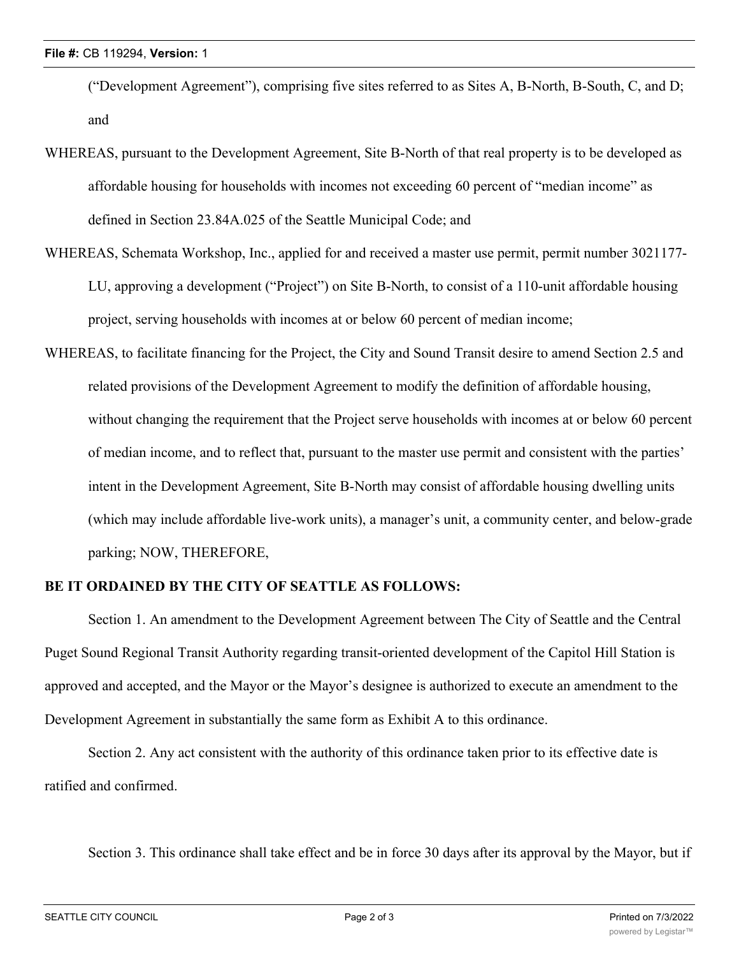("Development Agreement"), comprising five sites referred to as Sites A, B-North, B-South, C, and D; and

- WHEREAS, pursuant to the Development Agreement, Site B-North of that real property is to be developed as affordable housing for households with incomes not exceeding 60 percent of "median income" as defined in Section 23.84A.025 of the Seattle Municipal Code; and
- WHEREAS, Schemata Workshop, Inc., applied for and received a master use permit, permit number 3021177- LU, approving a development ("Project") on Site B-North, to consist of a 110-unit affordable housing project, serving households with incomes at or below 60 percent of median income;
- WHEREAS, to facilitate financing for the Project, the City and Sound Transit desire to amend Section 2.5 and related provisions of the Development Agreement to modify the definition of affordable housing, without changing the requirement that the Project serve households with incomes at or below 60 percent of median income, and to reflect that, pursuant to the master use permit and consistent with the parties' intent in the Development Agreement, Site B-North may consist of affordable housing dwelling units (which may include affordable live-work units), a manager's unit, a community center, and below-grade parking; NOW, THEREFORE,

## **BE IT ORDAINED BY THE CITY OF SEATTLE AS FOLLOWS:**

Section 1. An amendment to the Development Agreement between The City of Seattle and the Central Puget Sound Regional Transit Authority regarding transit-oriented development of the Capitol Hill Station is approved and accepted, and the Mayor or the Mayor's designee is authorized to execute an amendment to the Development Agreement in substantially the same form as Exhibit A to this ordinance.

Section 2. Any act consistent with the authority of this ordinance taken prior to its effective date is ratified and confirmed.

Section 3. This ordinance shall take effect and be in force 30 days after its approval by the Mayor, but if